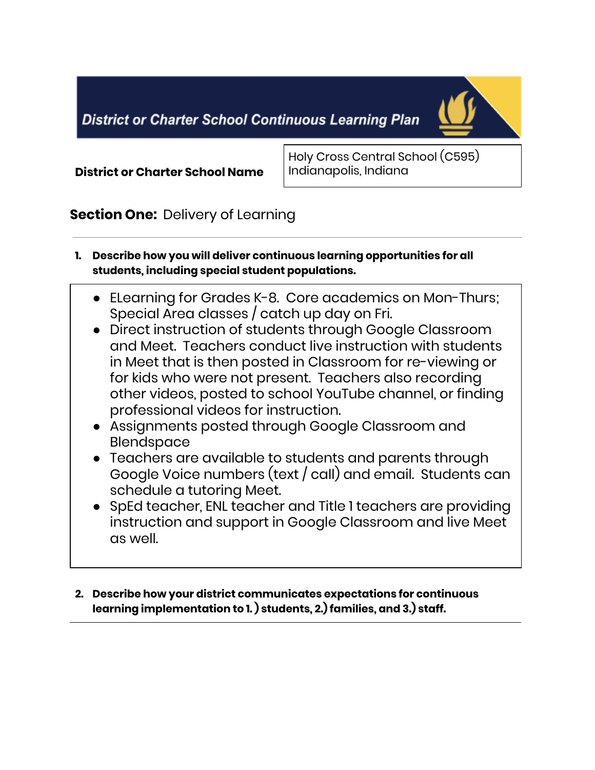**District or Charter School Continuous Learning Plan** 



#### **District or Charter School Name**

Holy Cross Central School (C595) Indianapolis, Indiana

## **Section One:** Delivery of Learning

- **1. Describe how you will deliver continuous learning opportunities for all students, including special student populations.**
	- ELearning for Grades K-8. Core academics on Mon-Thurs; Special Area classes / catch up day on Fri.
	- Direct instruction of students through Google Classroom and Meet. Teachers conduct live instruction with students in Meet that is then posted in Classroom for re-viewing or for kids who were not present. Teachers also recording other videos, posted to school YouTube channel, or finding professional videos for instruction.
	- Assignments posted through Google Classroom and Blendspace
	- Teachers are available to students and parents through Google Voice numbers (text / call) and email. Students can schedule a tutoring Meet.
	- SpEd teacher, ENL teacher and Title 1 teachers are providing instruction and support in Google Classroom and live Meet as well.
- **2. Describe how your district communicates expectations for continuous learning implementation to 1. ) students, 2.) families, and 3.) staff.**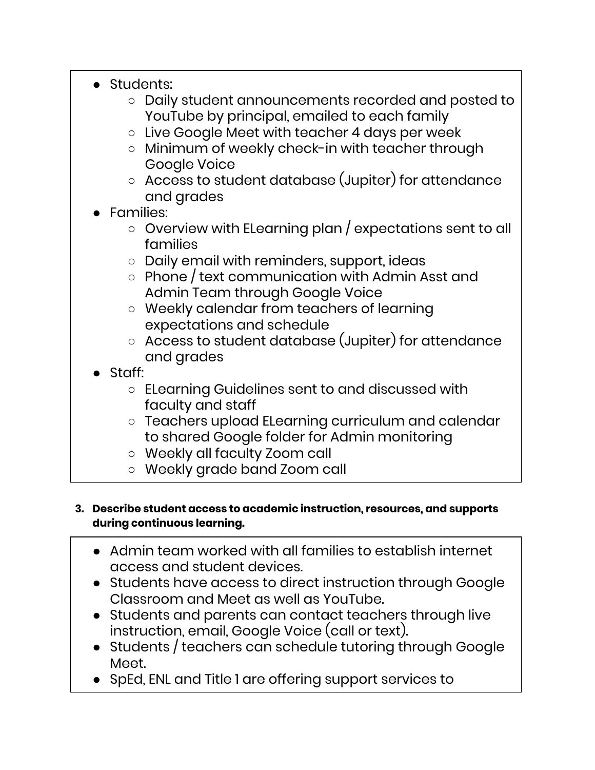- Students:
	- Daily student announcements recorded and posted to YouTube by principal, emailed to each family
	- Live Google Meet with teacher 4 days per week
	- Minimum of weekly check-in with teacher through Google Voice
	- Access to student database (Jupiter) for attendance and grades
- **Families:** 
	- Overview with ELearning plan / expectations sent to all families
	- Daily email with reminders, support, ideas
	- Phone / text communication with Admin Asst and Admin Team through Google Voice
	- Weekly calendar from teachers of learning expectations and schedule
	- Access to student database (Jupiter) for attendance and grades
- Staff:
	- ELearning Guidelines sent to and discussed with faculty and staff
	- Teachers upload ELearning curriculum and calendar to shared Google folder for Admin monitoring
	- Weekly all faculty Zoom call
	- Weekly grade band Zoom call

#### **3. Describe student access to academic instruction, resources, and supports during continuous learning.**

- Admin team worked with all families to establish internet access and student devices.
- Students have access to direct instruction through Google Classroom and Meet as well as YouTube.
- Students and parents can contact teachers through live instruction, email, Google Voice (call or text).
- Students / teachers can schedule tutoring through Google Meet.
- SpEd, ENL and Title 1 are offering support services to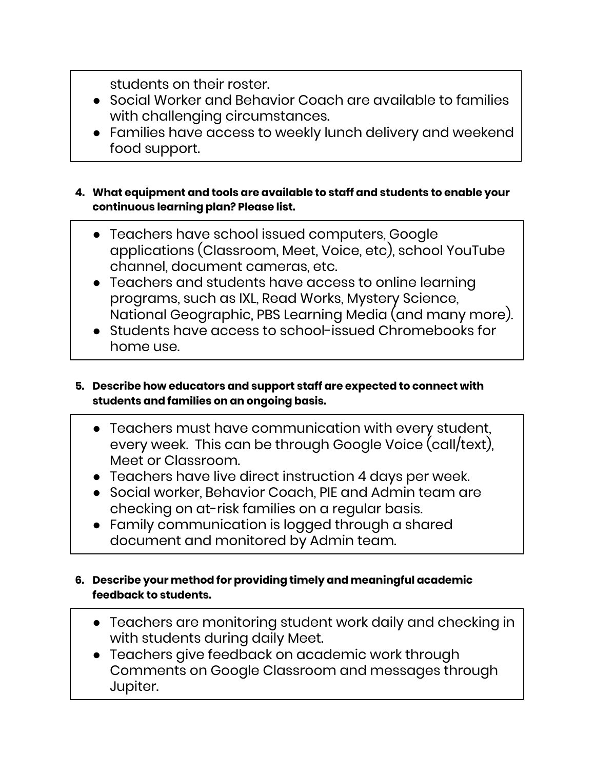students on their roster.

- Social Worker and Behavior Coach are available to families with challenging circumstances.
- Families have access to weekly lunch delivery and weekend food support.
- **4. What equipment and tools are available to staff and students to enable your continuous learning plan? Please list.**
	- Teachers have school issued computers, Google applications (Classroom, Meet, Voice, etc), school YouTube channel, document cameras, etc.
	- Teachers and students have access to online learning programs, such as IXL, Read Works, Mystery Science, National Geographic, PBS Learning Media (and many more).
	- Students have access to school-issued Chromebooks for home use.
- **5. Describe how educators and support staff are expected to connect with students and families on an ongoing basis.**
	- Teachers must have communication with every student, every week. This can be through Google Voice (call/text), Meet or Classroom.
	- Teachers have live direct instruction 4 days per week.
	- Social worker, Behavior Coach, PIE and Admin team are checking on at-risk families on a regular basis.
	- Family communication is logged through a shared document and monitored by Admin team.
- **6. Describe your method for providing timely and meaningful academic feedback to students.**
	- Teachers are monitoring student work daily and checking in with students during daily Meet.
	- Teachers give feedback on academic work through Comments on Google Classroom and messages through Jupiter.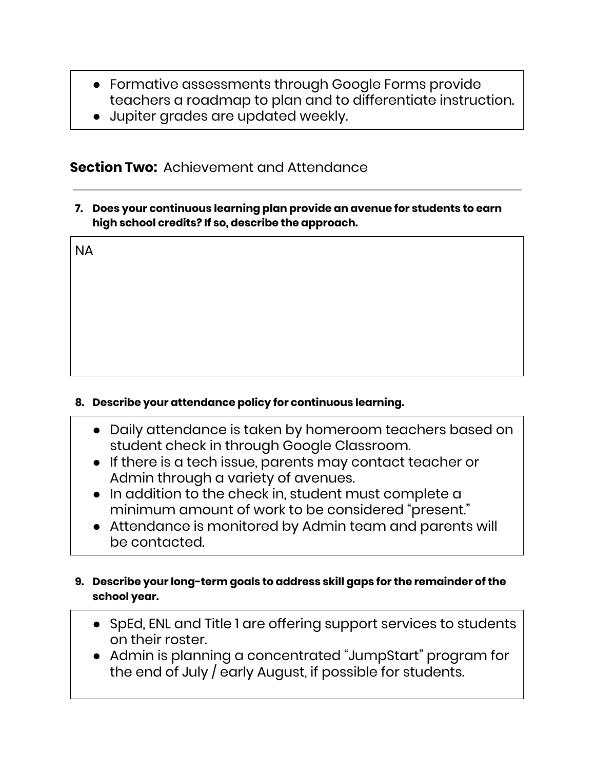- Formative assessments through Google Forms provide teachers a roadmap to plan and to differentiate instruction.
- Jupiter grades are updated weekly.

### **Section Two:** Achievement and Attendance

**7. Does your continuous learning plan provide an avenue for students to earn high school credits? If so, describe the approach.**

NA

#### **8. Describe your attendance policy for continuous learning.**

- Daily attendance is taken by homeroom teachers based on student check in through Google Classroom.
- If there is a tech issue, parents may contact teacher or Admin through a variety of avenues.
- In addition to the check in, student must complete a minimum amount of work to be considered "present."
- Attendance is monitored by Admin team and parents will be contacted.

#### **9. Describe your long-term goals to address skill gaps for the remainder of the school year.**

- SpEd, ENL and Title 1 are offering support services to students on their roster.
- Admin is planning a concentrated "JumpStart" program for the end of July / early August, if possible for students.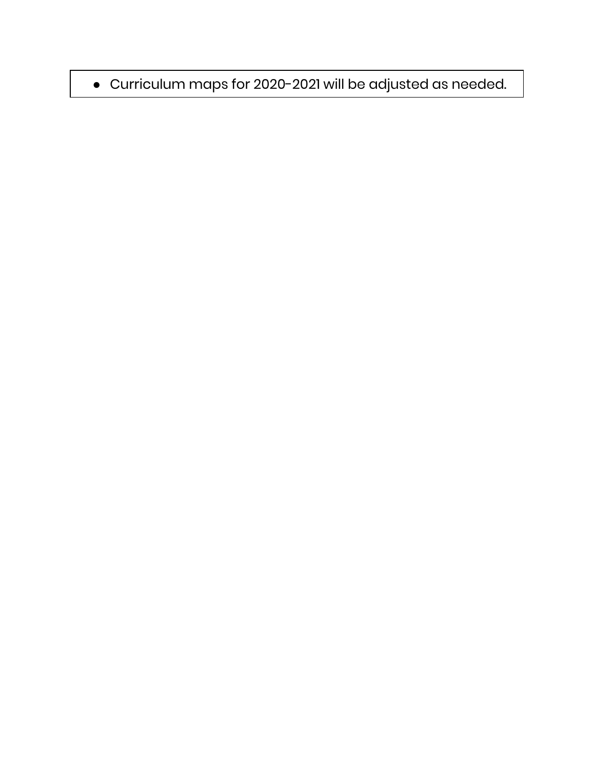# · Curriculum maps for 2020-2021 will be adjusted as needed.